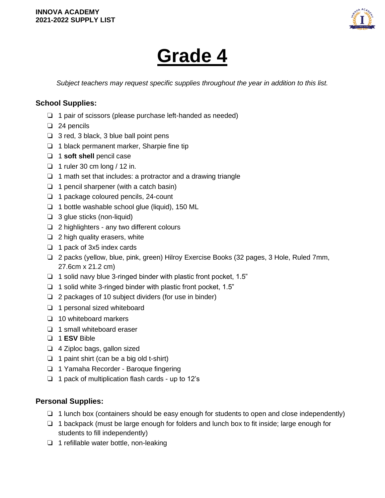

## **Grade 4**

*Subject teachers may request specific supplies throughout the year in addition to this list.*

## **School Supplies:**

- ❏ 1 pair of scissors (please purchase left-handed as needed)
- ❏ 24 pencils
- ❏ 3 red, 3 black, 3 blue ball point pens
- ❏ 1 black permanent marker, Sharpie fine tip
- ❏ 1 **soft shell** pencil case
- $\Box$  1 ruler 30 cm long / 12 in.
- ❏ 1 math set that includes: a protractor and a drawing triangle
- ❏ 1 pencil sharpener (with a catch basin)
- ❏ 1 package coloured pencils, 24-count
- ❏ 1 bottle washable school glue (liquid), 150 ML
- ❏ 3 glue sticks (non-liquid)
- ❏ 2 highlighters any two different colours
- ❏ 2 high quality erasers, white
- ❏ 1 pack of 3x5 index cards
- ❏ 2 packs (yellow, blue, pink, green) Hilroy Exercise Books (32 pages, 3 Hole, Ruled 7mm, 27.6cm x 21.2 cm)
- ❏ 1 solid navy blue 3-ringed binder with plastic front pocket, 1.5"
- ❏ 1 solid white 3-ringed binder with plastic front pocket, 1.5"
- ❏ 2 packages of 10 subject dividers (for use in binder)
- ❏ 1 personal sized whiteboard
- ❏ 10 whiteboard markers
- ❏ 1 small whiteboard eraser
- ❏ 1 **ESV** Bible
- ❏ 4 Ziploc bags, gallon sized
- ❏ 1 paint shirt (can be a big old t-shirt)
- ❏ 1 Yamaha Recorder Baroque fingering
- ❏ 1 pack of multiplication flash cards up to 12's

## **Personal Supplies:**

- ❏ 1 lunch box (containers should be easy enough for students to open and close independently)
- ❏ 1 backpack (must be large enough for folders and lunch box to fit inside; large enough for students to fill independently)
- ❏ 1 refillable water bottle, non-leaking